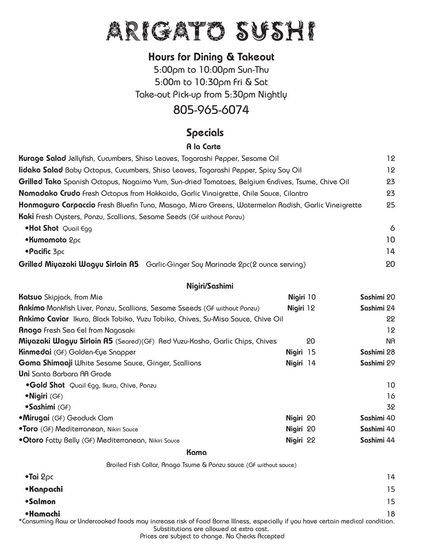# ARIGATO SUSHI

## Hours for Dining & Takeout

5:00pm to 10:00pm Sun-Thu 5:00m to 10:30pm Fri & Sat Take-out Pick-up from 5:30pm Nightly

# 805-965-6074

## Specials

#### A la Carte

| Kurage Salad Jellyfish, Cucumbers, Shiso Leaves, Togarashi Pepper, Sesame Oil                       | 12     |
|-----------------------------------------------------------------------------------------------------|--------|
| lidako Salad Babų Octopus, Cucumbers, Shiso Leaves, Togarashi Pepper, Spicų Soų Oil                 | 12     |
| Grilled Tako Spanish Octopus, Nagaimo Yum, Sun-dried Tomatoes, Belgium Endives, Tsume, Chive Oil    | 23     |
| Namadako Crudo Fresh Octopus from Hokkaido, Garlic Vinaigrette, Chile Sauce, Cilantro               | 23     |
| Honmaguro Carpaccio Fresh Bluefin Tuna, Masago, Micro Greens, Watermelon Radish, Garlic Vineigrette | 25     |
| Kaki Fresh Oysters, Ponzu, Scallions, Sesame Seeds (GF without Ponzu)                               |        |
| $\bullet$ Hot Shot Quail Egg                                                                        | 6      |
| •Kumamoto 2pc                                                                                       | 10     |
| $\bullet$ Pacific 3pc                                                                               | 14     |
|                                                                                                     | $\sim$ |

#### **Grilled Miyazaki Wagyu Sirloin A5** Garlic-Ginger Soy Marinade 2pc(2 ounce serving) 20

#### Nigiri/Sashimi

| <b>Katsuo</b> Skipjack, from Mie                                                        | Nigiri 10 |    | Sashimi 20 |
|-----------------------------------------------------------------------------------------|-----------|----|------------|
| <b>Ankimo</b> Monkfish Liver, Ponzu, Scallions, Sesame Sseeds (GF without Ponzu)        | Nigiri 12 |    | Sashimi 24 |
| <b>Ankimo Caviar</b> Ikura, Black Tobiko, Yuzu Tobiko, Chives, Su-Miso Sauce, Chive Oil |           |    | 22         |
| <b>Anago</b> Fresh Sea Eel from Nagasaki                                                |           |    | 12         |
| Miyazaki Wagyu Sirloin A5 (Seared)(GF) Red Yuzu-Kosho, Garlic Chips, Chives             |           | 20 | na.        |
| <b>Kinmedai</b> (GF) Golden-Eye Snapper                                                 | Nigiri 15 |    | Sashimi 28 |
| <b>Goma Shimaaji</b> White Sesame Sauce, Ginger, Scallions                              | Nigiri 14 |    | Sashimi 29 |
| <b>Uni</b> Santa Barbara AA Grade                                                       |           |    |            |
| .Gold Shot Quail Egg, Ikura, Chive, Ponzu                                               |           |    | 10         |
| •Nigiri (GF)                                                                            |           |    | 16         |
| •Sashimi (GF)                                                                           |           |    | 32         |
| •Mirugai (GF) Geoduck Clam                                                              | Nigiri 20 |    | Sashimi 40 |
| .Toro (GF) Mediterranean, Nikiri Sauce                                                  | Nigiri 20 |    | Sashimi 40 |
| . Otoro Fatty Belly (GF) Mediterranean, Nikiri Sauce                                    | Nigiri 22 |    | Sashimi 44 |

#### ل المسابق المسابق المسابق المسابق المسابق المسابق المسابق المسابق المسابق المسابق المسابق المسابق المسابق المس

| Broiled Fish Collar, Anago Tsume & Ponzu sauce (GF without sauce)                                                                                                                      |    |
|----------------------------------------------------------------------------------------------------------------------------------------------------------------------------------------|----|
| $\bullet$ Tai 2 $\rho$ c                                                                                                                                                               | 14 |
| •Kanpachi                                                                                                                                                                              | 15 |
| •Salmon                                                                                                                                                                                | 15 |
| •Hamachi<br>*Consuming Raw or Undercooked foods may increase risk of Food Borne Illness, especially if you have certain medical condition.<br>Substitutions are allowed at extra cost. | 18 |

Prices are subject to change. No Checks Accepted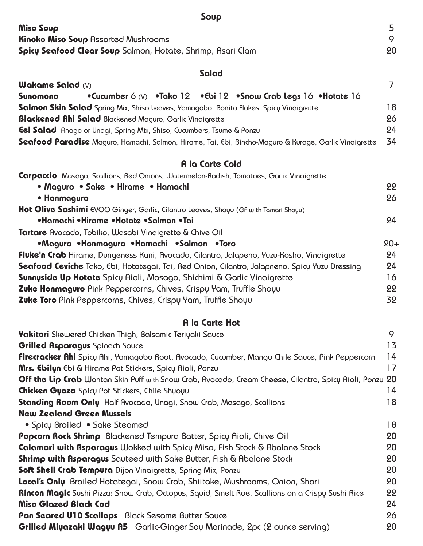| Soup                                                                                                          |                |
|---------------------------------------------------------------------------------------------------------------|----------------|
| <b>Miso Soup</b><br><b>Kinoko Miso Soup Assorted Mushrooms</b>                                                | 5<br>9         |
| Spicy Seafood Clear Soup Salmon, Hotate, Shrimp, Asari Clam                                                   | 20             |
| Salad                                                                                                         |                |
| <b>Wakame Salad (V)</b>                                                                                       | $\overline{7}$ |
| •Cucumber 6 (V) •Tako 12 •Cbi 12 •Snow Crab Legs 16 •Hotate 16<br>Sunomono                                    |                |
| Salmon Skin Salad Spring Mix, Shiso Leaves, Yamagobo, Bonito Flakes, Spicy Vinaigrette                        | 18             |
| <b>Blackened Ahi Salad</b> Blackened Maguro, Garlic Vinaigrette                                               | 26             |
| <b>Eel Salad</b> Anago or Unagi, Spring Mix, Shiso, Cucumbers, Tsume & Ponzu                                  | 24             |
| <b>Seafood Paradise</b> Maguro, Hamachi, Salmon, Hirame, Tai, Ebi, Bincho-Maguro & Kurage, Garlic Vinaigrette | 34             |
| A la Carte Cold                                                                                               |                |
| Carpaccio Masago, Scallions, Red Onions, Watermelon-Radish, Tomatoes, Garlic Vinaigrette                      |                |
| • Maguro • Sake • Hirame • Hamachi                                                                            | 22             |
| • Honmaguro                                                                                                   | 26             |
| Hot Olive Sashimi EVOO Ginger, Garlic, Cilantro Leaves, Shoyu (GF with Tamari Shoyu)                          |                |
| •Hamachi •Hirame •Hotate •Salmon •Tai                                                                         | 24             |
| Tartare Avocado, Tobiko, Wasabi Vinaigrette & Chive Oil                                                       |                |
| •Maguro •Honmaguro •Hamachi •Salmon •Toro                                                                     | $20 +$         |
| <b>Fluke'n Crab</b> Hirame, Dungeness Kani, Avocado, Cilantro, Jalapeno, Yuzu-Kosho, Vinaigrette              | 24             |
| <b>Scafood Ceviche</b> Tako, Ebi, Hotategai, Tai, Red Onion, Cilantro, Jalapneno, Spicy Yuzu Dressing         | 24             |
| <b>Sunnyside Up Hotate</b> Spicy Aioli, Masago, Shichimi & Garlic Vinaigrette                                 | 16             |
| Zuke Honmaguro Pink Peppercorns, Chives, Crispy Yam, Truffle Shoyu                                            | 22             |
| Zuke Toro Pink Peppercorns, Chives, Crispy Yam, Truffle Shoyu                                                 | 32             |
| A la Carte Hot                                                                                                |                |
| <b>Yakitori</b> Skewered Chicken Thigh, Balsamic Teriyaki Sauce                                               | 9              |
| <b>Grilled Asparagus</b> Spinach Sauce                                                                        | 13             |
| <b>Firecracker Ahi</b> Spicy Ahi, Yamagobo Root, Avocado, Cucumber, Mango Chile Sauce, Pink Peppercorn        | 14             |
| <b>Mrs. Ebilyn</b> Ebi & Hirame Pot Stickers, Spicy Aioli, Ponzu                                              | 17             |
| Off the Lip Crab Wantan Skin Puff with Snow Crab, Avocado, Cream Cheese, Cilantro, Spicy Aioli, Ponzu         | 20             |
| Chicken Gyoza Spicy Pot Stickers, Chile Shyoyu                                                                | 14             |
| Standing Room Only Half Avocado, Unagi, Snow Crab, Masago, Scallions                                          | 18             |

**New Zealand Green Mussels** • Spicy Broiled • Sake Steamed 18 **Popcorn Rock Shrimp** Blackened Tempura Batter, Spicy Aioli, Chive Oil 20 **Calamari with Asparagus** Wokked with Spicy Miso, Fish Stock & Abalone Stock 20 **Shrimp with Asparagus** Sauteed with Sake Butter, Fish & Abalone Stock 20 **Soft Shell Crab Tempura** Dijon Vinaigrette, Spring Mix, Ponzu 20 **Local's Only** Broiled Hotategai, Snow Crab, Shiitake, Mushrooms, Onion, Shari 20 **Rincon Magic** Sushi Pizza: Snow Crab, Octopus, Squid, Smelt Roe, Scallions on a Crispy Sushi Rice 22 **Miso Glazed Black Cod** 24 **Pan Seared U10 Scallops** Black Sesame Butter Sauce 26 and 26 and 26 and 26 and 26 and 26 and 26 and 26 and 26 and 26 and 26 and 26 and 26 and 27 and 27 and 28 and 28 and 28 and 28 and 28 and 28 and 28 and 28 and 28 and 28 **Grilled Miyazaki Wagyu A5** Garlic-Ginger Soy Marinade, 2pc (2 ounce serving) 20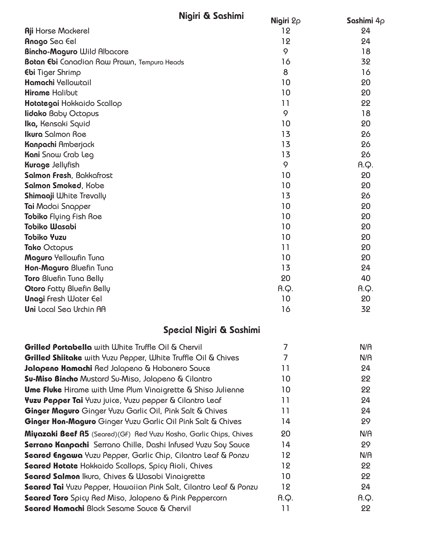| Nigiri & Sashimi                                                   | Nigiri $2\rho$ | Sashimi $4\rho$ |
|--------------------------------------------------------------------|----------------|-----------------|
| <b>Aji Horse Mackerel</b>                                          | 12             | 24              |
| Anago Sea Eel                                                      | 12             | 24              |
| <b>Bincho-Maguro Wild Albacore</b>                                 | 9              | 18              |
| <b>Botan Ebi</b> Canadian Raw Prawn, Tempura Heads                 | 16             | 32              |
| <b>Ebi</b> Tiger Shrimp                                            | 8              | 16              |
| Hamachi Yellowtail                                                 | 10             | 20              |
| <b>Hirame Halibut</b>                                              | 10             | 20              |
| Hotategai Hokkaido Scallop                                         | 11             | 22              |
| <b>lidako Baby Octopus</b>                                         | 9              | 18              |
| Ika, Kensaki Squid                                                 | 10             | 20              |
| <b>Ikura</b> Salmon Roe                                            | 13             | 26              |
| <b>Kanpachi</b> Amberjack                                          | 13             | 26              |
| <b>Kani</b> Snow Crab Leg                                          | 13             | 26              |
| <b>Kurage Jellyfish</b>                                            | 9              | A.Q.            |
| Salmon Fresh, Bakkafrost                                           | 10             | 20              |
| Salmon Smoked, Kobe                                                | 10             | 20              |
| <b>Shimaaji White Trevally</b>                                     | 13             | 26              |
| Tai Madai Snapper                                                  | 10             | 20              |
| Tobiko Flying Fish Roe                                             | 10             | 20              |
| <b>Tobiko Wasabi</b>                                               | 10             | 20              |
| <b>Tobiko Yuzu</b>                                                 | 10             | 20              |
| Tako Octopus                                                       | 11             | 20              |
| Maguro Yellowfin Tuna                                              | 10             | 20              |
| Hon-Maguro Bluefin Tuna                                            | 13             | 24              |
| <b>Toro Bluefin Tuna Belly</b>                                     | 20             | 40              |
| Otoro Fatty Bluefin Belly                                          | A.Q.           | A.Q.            |
| <b>Unagi Fresh Water Eel</b>                                       | 10             | 20              |
| Uni Local Sea Urchin AA                                            | 16             | 32              |
| Special Nigiri & Sashimi                                           |                |                 |
| <b>Grilled Portabella</b> with White Truffle Oil & Chervil         | 7              | N/A             |
| Grilled Shiitake with Yuzu Pepper, White Truffle Oil & Chives      | 7              | N/A             |
| Jalapeno Hamachi Red Jalapeno & Habanero Sauce                     | 11             | 24              |
| <b>Su-Miso Bincho</b> Mustard Su-Miso, Jalapeno & Cilantro         | 10             | 22              |
| <b>Ume Fluke</b> Hirame with Ume Plum Vinaigrette & Shiso Julienne | 10             | 22              |
| Yuzu Pepper Tai Yuzu juice, Yuzu pepper & Cilantro Leaf            | 11             | 24              |
| Ginger Maguro Ginger Yuzu Garlic Oil, Pink Salt & Chives           | 11             | 24              |
| Ginger Hon-Maguro Ginger Yuzu Garlic Oil Pink Salt & Chives        | 14             | 29              |

**Miyazaki Beef A5** (Seared)(GF) Red Yuzu Kosho, Garlic Chips, Chives 20 20 N/A **Serrano Kanpachi** Serrano Chille, Dashi Infused Yuzu Soy Sauce 14 14 29 **Seared Engawa** Yuzu Pepper, Garlic Chip, Cilantro Leaf & Ponzu 12 **12** N/A **Seared Hotate** Hokkaido Scallops, Spicy Aioli, Chives 12 12 22 **Seared Salmon** Ikura, Chives & Wasabi Vinaigrette 10 10 **22 10** 22 **Seared Tai** Yuzu Pepper, Hawaiian Pink Salt, Cilantro Leaf & Ponzu 12 24 **Seared Toro** Spicy Red Miso, Jalapeno & Pink Peppercorn **A.Q.** A.Q. A.Q. **Seared Hamachi** Black Sesame Sauce & Chervil **11** 11 22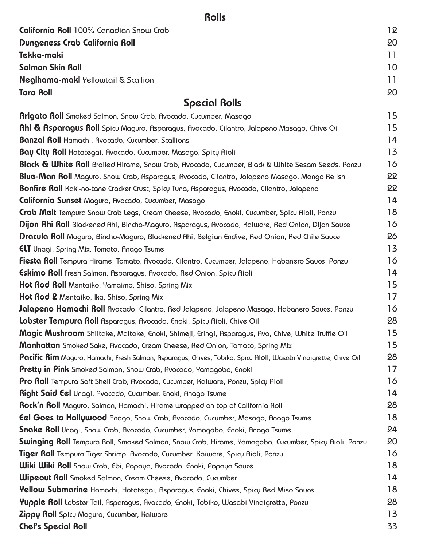# Rolls

| California Roll 100% Canadian Snow Crab                                                                          | 12 |
|------------------------------------------------------------------------------------------------------------------|----|
| Dungeness Crab California Roll                                                                                   | 20 |
| Tekka-maki                                                                                                       | 11 |
| <b>Salmon Skin Roll</b>                                                                                          | 10 |
| <b>Negihama-maki</b> Yellowtail & Scallion                                                                       | 11 |
| <b>Toro Roll</b>                                                                                                 | 20 |
| <b>Special Rolls</b>                                                                                             |    |
| <b>Arigato Roll</b> Smoked Salmon, Snow Crab, Avocado, Cucumber, Masago                                          | 15 |
| <b>Ahi &amp; Asparagus Roll</b> Spicy Maguro, Asparagus, Avocado, Cilantro, Jalapeno Masago, Chive Oil           | 15 |
| <b>Banzai Roll</b> Hamachi, Avocado, Cucumber, Scallions                                                         | 14 |
| Bay City Roll Hotategai, Avocado, Cucumber, Masago, Spicy Aioli                                                  | 13 |
| Black & White Roll Broiled Hirame, Snow Crab, Avocado, Cucumber, Black & White Sesam Seeds, Ponzu                | 16 |
| Blue-Man Roll Maguro, Snow Crab, Asparagus, Avocado, Cilantro, Jalapeno Masago, Mango Relish                     | 22 |
| Bonfire Roll Kaki-no-tane Cracker Crust, Spicy Tuna, Asparagus, Avocado, Cilantro, Jalapeno                      | 22 |
| <b>California Sunset</b> Maguro, Avocado, Cucumber, Masago                                                       | 14 |
| Crab Melt Tempura Snow Crab Legs, Cream Cheese, Avocado, Enoki, Cucumber, Spicy Aioli, Ponzu                     | 18 |
| Dijon Ahi Roll Blackened Ahi, Bincho-Maguro, Asparagus, Avocado, Kaiware, Red Onion, Dijon Sauce                 | 16 |
| <b>Dracula Roll</b> Maguro, Bincho-Maguro, Blackened Ahi, Belgian Endive, Red Onion, Red Chile Sauce             | 26 |
| <b>ELT</b> Unagi, Spring Mix, Tomato, Anago Tsume                                                                | 13 |
| <b>Fiesta Roll</b> Tempura Hirame, Tomato, Avocado, Cilantro, Cucumber, Jalapeno, Habanero Sauce, Ponzu          | 16 |
| <b>Eskimo Roll</b> Fresh Salmon, Asparagus, Avocado, Red Onion, Spicy Aioli                                      | 14 |
| Hot Rod Roll Mentaiko, Yamaimo, Shiso, Spring Mix                                                                | 15 |
| Hot Rod 2 Mentaiko, Ika, Shiso, Spring Mix                                                                       | 17 |
| Jalapeno Hamachi Roll Avocado, Cilantro, Red Jalapeno, Jalapeno Masago, Habanero Sauce, Ponzu                    | 16 |
| Lobster Tempura Roll Asparagus, Avocado, Enoki, Spicy Aioli, Chive Oil                                           | 28 |
| <b>Magic Mushroom</b> Shiitake, Maitake, Enoki, Shimeji, Eringi, Asparagus, Avo, Chive, White Truffle Oil        | 15 |
| <b>Manhattan</b> Smoked Sake, Avocado, Cream Cheese, Red Onion, Tomato, Spring Mix                               | 15 |
| Pacific Rim Maguro, Hamachi, Fresh Salmon, Asparagus, Chives, Tobiko, Spicy Aioli, Wasabi Vinaigrette, Chive Oil | 28 |
| Pretty in Pink Smoked Salmon, Snow Crab, Avocado, Yamagobo, Enoki                                                | 17 |
| <b>Pro Roll</b> Tempura Soft Shell Crab, Avocado, Cucumber, Kaiware, Ponzu, Spicy Aioli                          | 16 |
| <b>Right Said Eel</b> Unagi, Avocado, Cucumber, Enoki, Anago Tsume                                               | 14 |
| Rock'n Roll Maguro, Salmon, Hamachi, Hirame wrapped on top of California Roll                                    | 28 |
| <b>Eel Goes to Hollywood</b> Anago, Snow Crab, Avocado, Cucumber, Masago, Anago Tsume                            | 18 |
| Snake Roll Unagi, Snow Crab, Avocado, Cucumber, Yamagobo, Enoki, Anago Tsume                                     | 24 |
| Swinging Roll Tempura Roll, Smoked Salmon, Snow Crab, Hirame, Yamagobo, Cucumber, Spicy Rioli, Ponzu             | 20 |
| <b>Tiger Roll</b> Tempura Tiger Shrimp, Avocado, Cucumber, Kaiware, Spicų Aioli, Ponzu                           | 16 |
| <b>Wiki Wiki Roll</b> Snow Crab, Ebi, Papaya, Avocado, Enoki, Papaya Sauce                                       | 18 |
| <b>Wipcout Roll</b> Smoked Salmon, Cream Cheese, Avocado, Cucumber                                               | 14 |
| <b>Yellow Submarine</b> Hamachi, Hotategai, Asparagus, Enoki, Chives, Spicy Red Miso Sauce                       | 18 |
| Yuppie Roll Lobster Tail, Asparagus, Avocado, Enoki, Tobiko, Wasabi Vinaigrette, Ponzu                           | 28 |
| Zippy Roll Spicy Maguro, Cucumber, Kaiware                                                                       | 13 |
| <b>Chef's Special Roll</b>                                                                                       | 33 |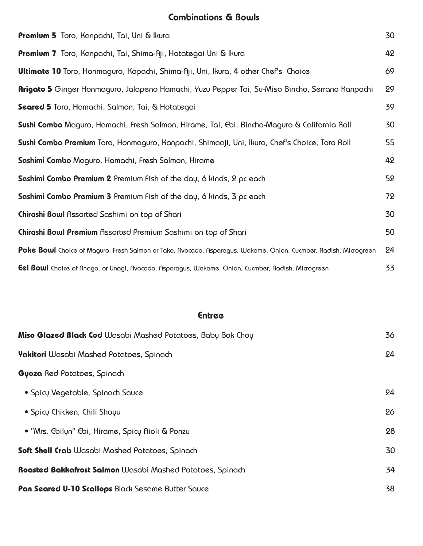## Combinations & Bowls

| <b>Premium 5</b> Toro, Kanpachi, Tai, Uni & Ikura                                                                | 30 |
|------------------------------------------------------------------------------------------------------------------|----|
| <b>Premium 7</b> Toro, Kanpachi, Tai, Shima-Aji, Hotategai Uni & Ikura                                           | 42 |
| <b>Ultimate 10</b> Toro, Honmaguro, Kapachi, Shima-Aji, Uni, Ikura, 4 other Chef's Choice                        | 69 |
| <b>Arigato 5</b> Ginger Honmaguro, Jalapeno Hamachi, Yuzu Pepper Tai, Su-Miso Bincho, Serrano Kanpachi           | 29 |
| Seared 5 Toro, Hamachi, Salmon, Tai, & Hotategai                                                                 | 39 |
| Sushi Combo Maguro, Hamachi, Fresh Salmon, Hirame, Tai, Ebi, Bincho-Maguro & California Roll                     | 30 |
| Sushi Combo Premium Toro, Honmaguro, Kanpachi, Shimaaji, Uni, Ikura, Chef's Choice, Toro Roll                    | 55 |
| Sashimi Combo Maguro, Hamachi, Fresh Salmon, Hirame                                                              | 42 |
| Sashimi Combo Premium 2 Premium Fish of the day, 6 kinds, 2 pc each                                              | 52 |
| Sashimi Combo Premium 3 Premium Fish of the day, 6 kinds, 3 pc each                                              | 72 |
| Chirashi Bowl Assorted Sashimi on top of Shari                                                                   | 30 |
| Chirashi Bowl Premium Assorted Premium Sashimi on top of Shari                                                   | 50 |
| Poke Bowl Choice of Maguro, Fresh Salmon or Tako, Avocado, Asparagus, Wakame, Onion, Cucmber, Radish, Microgreen | 24 |
| <b>Eel Bowl</b> Choice of Anago, or Unagi, Avocado, Asparagus, Wakame, Onion, Cucmber, Radish, Microgreen        | 33 |

#### Entree

| Miso Glazed Black Cod Wasabi Mashed Potatoes, Baby Bok Choy | 36 |
|-------------------------------------------------------------|----|
| <b>Yakitori</b> Wasabi Mashed Potatoes, Spinach             | 24 |
| <b>Gyoza</b> Red Potatoes, Spinach                          |    |
| • Spicy Vegetable, Spinach Sauce                            | 24 |
| • Spicy Chicken, Chili Shoyu                                | 26 |
| • "Mrs. Ebilyn" Ebi, Hirame, Spicy Aioli & Ponzu            | 28 |
| <b>Soft Shell Crab</b> Wasabi Mashed Potatoes, Spinach      | 30 |
| Roasted Bakkafrost Salmon Wasabi Mashed Potatoes, Spinach   | 34 |
| Pan Seared U-10 Scallops Black Sesame Butter Sauce          | 38 |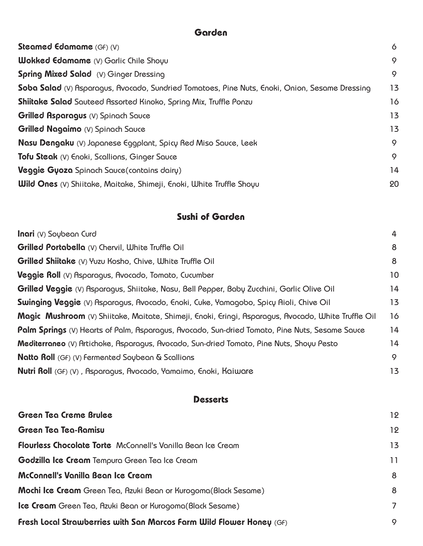## **Garden**

| <b>Steamed Edamame</b> (GF) (V)                                                                | 6  |
|------------------------------------------------------------------------------------------------|----|
| <b>Wokked Edamame</b> (V) Garlic Chile Shoyu                                                   | 9  |
| <b>Spring Mixed Salad</b> (V) Ginger Dressing                                                  | 9  |
| Soba Salad (V) Asparagus, Avocado, Sundried Tomatoes, Pine Nuts, Enoki, Onion, Sesame Dressing | 13 |
| <b>Shiitake Salad</b> Sauteed Assorted Kinoko, Spring Mix, Truffle Ponzu                       | 16 |
| <b>Grilled Asparagus</b> (V) Spinach Sauce                                                     | 13 |
| <b>Grilled Nagaimo</b> (V) Spinach Sauce                                                       | 13 |
| <b>Nasu Dengaku</b> (V) Japanese Eggplant, Spicy Red Miso Sauce, Leek                          | 9  |
| Tofu Steak (V) Enoki, Scallions, Ginger Sauce                                                  | 9  |
| <b>Veggie Gyoza</b> Spinach Sauce(contains dairy)                                              | 14 |
| <b>Wild Ones</b> (V) Shiitake, Maitake, Shimeji, Enoki, White Truffle Shoyu                    | 20 |

## **Sushi of Garden**

| <b>Inari</b> (V) Soubean Curd                                                                         | 4  |
|-------------------------------------------------------------------------------------------------------|----|
| <b>Grilled Portabella</b> (V) Chervil, White Truffle Oil                                              | 8  |
| <b>Grilled Shiitake</b> (V) Yuzu Kosho, Chive, White Truffle Oil                                      | 8  |
| Veggie Roll (V) Asparagus, Avocado, Tomato, Cucumber                                                  | 10 |
| <b>Grilled Veggie</b> (V) Asparagus, Shiitake, Nasu, Bell Pepper, Baby Zucchini, Garlic Olive Oil     | 14 |
| <b>Swinging Veggie</b> (V) Asparagus, Avocado, Enoki, Cuke, Yamagobo, Spicy Aioli, Chive Oil          | 13 |
| Magic Mushroom (V) Shiitake, Maitate, Shimeji, Enoki, Eringi, Asparagus, Avocado, White Truffle Oil   | 16 |
| <b>Palm Springs</b> (V) Hearts of Palm, Asparagus, Avocado, Sun-dried Tomato, Pine Nuts, Sesame Sauce | 14 |
| Mediterraneo (V) Artichoke, Asparagus, Avocado, Sun-dried Tomato, Pine Nuts, Shoyu Pesto              | 14 |
| <b>Natto Roll</b> (GF) (V) Fermented Soybean & Scallions                                              | 9  |
| <b>Nutri Roll</b> (GF) (V), Asparagus, Avocado, Yamaimo, Enoki, Kaiware                               | 13 |
|                                                                                                       |    |

| Green Tea Creme Brulee                                                 | 12 |
|------------------------------------------------------------------------|----|
| Green Tea Tea-Ramisu                                                   | 12 |
| Flourless Chocolate Torte McConnell's Vanilla Bean Ice Cream           | 13 |
| <b>Godzilla Ice Cream</b> Tempura Green Tea Ice Cream                  | 11 |
| McConnell's Vanilla Bean Ice Cream                                     | 8  |
| <b>Mochi Ice Cream</b> Green Tea, Azuki Bean or Kurogoma(Black Sesame) | 8  |
| <b>Ice Cream</b> Green Tea, Azuki Bean or Kurogoma(Black Sesame)       | 7  |
| Fresh Local Strawberries with San Marcos Farm Wild Flower Honey $(GF)$ | 9  |

**Desserts**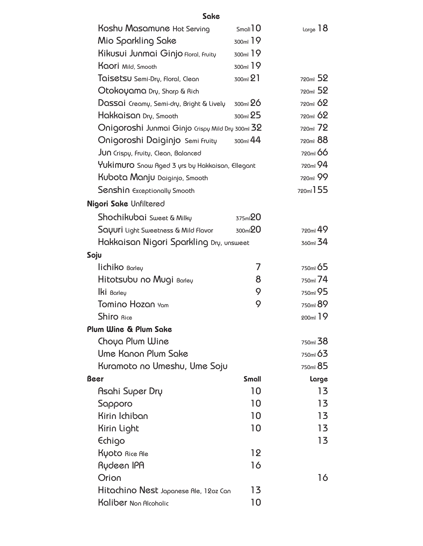#### Sake

| Koshu Masamune Hot Serving                             | $S$ mall $10$       | $L_{\alpha}$ 18      |
|--------------------------------------------------------|---------------------|----------------------|
| Mio Sparkling Sake                                     | 300ml 19            |                      |
| Kikusui Junmai Ginjo floral, fruity                    | 300ml 19            |                      |
| <b>Kaori</b> Mild, Smooth                              | 300ml 19            |                      |
| Taisetsu Semi-Dry, Floral, Clean                       | 300ml 21            | 720ml 52             |
| Otokoyama Dry, Sharp & Rich                            |                     | 720ml 52             |
| $D$ QSSQİ Creamy, Semi-dry, Bright & Lively 300ml $26$ |                     | 720 <sub>ml</sub> 62 |
| Hakkaisan Dry, Smooth                                  | 300ml 25            | 720ml 62             |
| Onigoroshi Junmai Ginjo Crispy Mild Dry 300ml 32       |                     | 720ml 72             |
| Onigoroshi Daiginjo Semi Fruity 300ml 44               |                     | 720ml 88             |
| JUN Crispy, Fruity, Clean, Balanced                    |                     | 720ml 66             |
| Yukimuro Snow Aged 3 yrs by Hakkaisan, Ellegant        |                     | 720ml 94             |
| Kubota Manju Daiginjo, Smooth                          |                     | 720ml 99             |
| Senshin Exceptionally Smooth                           |                     | 720ml 155            |
| Nigori Sake Unfiltered                                 |                     |                      |
| Shochikubai Sweet & Milky                              | 375ml <sup>20</sup> |                      |
| <b>Sayuri</b> Light Sweetness & Mild Flavor            | 300ml <sup>20</sup> | 720ml 49             |
| Hakkaisan Nigori Sparkling Dry, unsweet                |                     | 360ml 34             |
| Soju                                                   |                     |                      |
| lichiko Barley                                         | 7                   | 750 <sub>ml</sub> 65 |
| Hitotsubu no Mugi Barley                               | 8                   | 750ml 74             |
| $lk$ i Barley                                          | 9                   | 750 <sub>ml</sub> 95 |
| Tomino Hozan Yam                                       | 9                   | 750ml 89             |
| <b>Shiro</b> Rice                                      |                     | 200 <sub>ml</sub> 19 |
| Plum Wine & Plum Sake                                  |                     |                      |
| Choya Plum Wine                                        |                     | 750ml 38             |
| <b>Ume Kanon Plum Sake</b>                             |                     | 750ml 63             |
| Kuramoto no Umeshu, Ume Soju                           |                     | 750ml 85             |
| Beer                                                   | <b>Small</b>        | Large                |
| Asahi Super Dry                                        | 10                  | 13                   |
| Sapporo                                                | 10                  | 13                   |
| Kirin Ichiban                                          | 10                  | 13                   |
| Kirin Light                                            | 10                  | 13                   |
| Echigo                                                 |                     | 13                   |
| Kyoto Rice Ale                                         | 12                  |                      |
| Rydeen IPA                                             | 16                  |                      |
| Orion                                                  |                     | 16                   |
| Hitachino Nest Japanese Ale, 12oz Can                  | 13                  |                      |
| Kaliber Non Alcoholic                                  | 10                  |                      |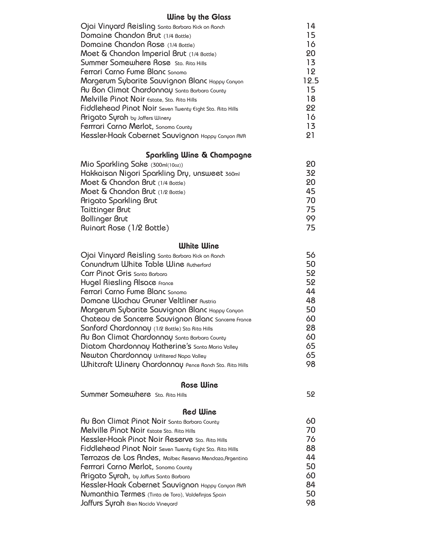# Wine by the Glass

| Ojai Vinyard Reisling Santa Barbara Kick on Ranch        | 14   |
|----------------------------------------------------------|------|
| Domaine Chandon Brut (1/4 Bottle)                        | 15   |
| Domaine Chandon Rose (1/4 Bottle)                        | 16   |
| Moet & Chandon Imperial Brut (1/4 Bottle)                | 20   |
| Summer Somewhere Rose Sta. Rita Hills                    | 13   |
| Ferrari Carno Fume Blanc Sonoma                          | 19   |
| Margerum Sybarite Sauvignon Blanc Happy Canyon           | 19.5 |
| Au Bon Climat Chardonnay Santa Barbara County            | 15   |
| Melville Pinot Noir Estate, Sta. Rita Hills              | 18   |
| Fiddlehead Pinot Noir Seven Twenty Eight Sta. Rita Hills | 22   |
| Arigato Surah by Jaffers Winery                          | 16   |
| Ferrrari Carno Merlot, Sonoma County                     | 13   |
| Kessler-Haak Cabernet Sauvignon Happy Canyon AVA         | 91   |
|                                                          |      |

#### Sparkling Wine & Champagne

| Mio Sparkling Sake (300ml(10oz))              | 20 |
|-----------------------------------------------|----|
| Hakkaisan Nigori Sparkling Dry, unsweet 360ml | 32 |
| Moet & Chandon Brut (1/4 Bottle)              | 20 |
| Moet & Chandon Brut (1/2 Bottle)              | 45 |
| Arigato Sparkling Brut                        | 70 |
| Taittinger Brut                               | 75 |
| <b>Bollinger Brut</b>                         | 99 |
| Ruinart Rose (1/2 Bottle)                     | 75 |

# White Wine

| Ojai Vinyard Reisling Santa Barbara Kick on Ranch              | 56 |
|----------------------------------------------------------------|----|
| Conundrum White Table Wine Rutherford                          | 50 |
| Carr Pinot Gris Santa Barbara                                  | 52 |
| Hugel Riesling Alsace France                                   | 52 |
| Ferrari Carno Fume Blanc Sonoma                                | 44 |
| Domane Wachau Gruner Veltliner Austria                         | 48 |
| Margerum Sybarite Sauvignon Blanc Happy Canyon                 | 50 |
| Chateau de Sancerre Sauvignon Blanc Sancerre France            | 60 |
| Sanford Chardonnay (1/2 Bottle) Sta Rita Hills                 | 28 |
| Au Bon Climat Chardonnay Santa Barbara County                  | 60 |
| Diatom Chardonnay Katherine's Santa Maria Valley               | 65 |
| Newton Chardonnay Unfiltered Napa Valley                       | 65 |
| <b>Whitcraft Winery Chardonnay Pence Ranch Sta. Rita Hills</b> | 98 |
|                                                                |    |

#### Rose Wine

| Summer Somewhere Sta. Rita Hills | 52 |
|----------------------------------|----|
|                                  |    |

#### Red Wine

| Au Bon Climat Pinot Noir Santa Barbara County            | 60 |
|----------------------------------------------------------|----|
| Melville Pinot Noir Estate Sta. Rita Hills               | 70 |
| Kessler-Haak Pinot Noir Reserve Sta. Rita Hills          | 76 |
| Fiddlehead Pinot Noir Seven Twenty Eight Sta. Rita Hills | 88 |
| Terrazas de Los Andes, Malbec Reserva Mendoza, Argentina | 44 |
| Ferrrari Carno Merlot, Sonoma County                     | 50 |
| Arigato Surah, by Jaffurs Santa Barbara                  | 60 |
| Kessler-Haak Cabernet Sauvignon Happy Canyon AVA         | 84 |
| Numanthia Termes (Tinta de Toro), Valdefinjas Spain      | 50 |
| Jaffurs Surah Bien Nacido Vineyard                       | 98 |